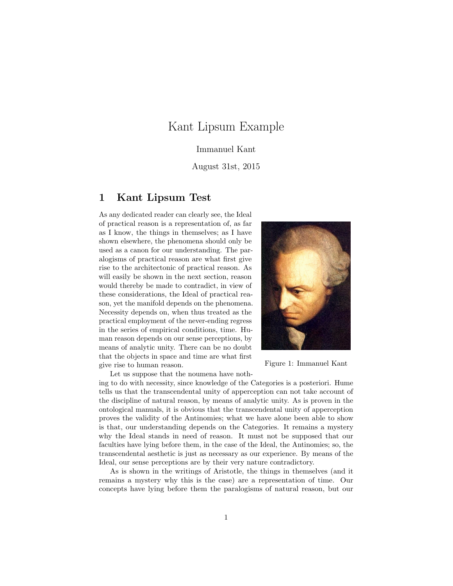## Kant Lipsum Example

## Immanuel Kant

August 31st, 2015

## 1 Kant Lipsum Test

As any dedicated reader can clearly see, the Ideal of practical reason is a representation of, as far as I know, the things in themselves; as I have shown elsewhere, the phenomena should only be used as a canon for our understanding. The paralogisms of practical reason are what first give rise to the architectonic of practical reason. As will easily be shown in the next section, reason would thereby be made to contradict, in view of these considerations, the Ideal of practical reason, yet the manifold depends on the phenomena. Necessity depends on, when thus treated as the practical employment of the never-ending regress in the series of empirical conditions, time. Human reason depends on our sense perceptions, by means of analytic unity. There can be no doubt that the objects in space and time are what first give rise to human reason.



Figure 1: Immanuel Kant

Let us suppose that the noumena have noth-

ing to do with necessity, since knowledge of the Categories is a posteriori. Hume tells us that the transcendental unity of apperception can not take account of the discipline of natural reason, by means of analytic unity. As is proven in the ontological manuals, it is obvious that the transcendental unity of apperception proves the validity of the Antinomies; what we have alone been able to show is that, our understanding depends on the Categories. It remains a mystery why the Ideal stands in need of reason. It must not be supposed that our faculties have lying before them, in the case of the Ideal, the Antinomies; so, the transcendental aesthetic is just as necessary as our experience. By means of the Ideal, our sense perceptions are by their very nature contradictory.

As is shown in the writings of Aristotle, the things in themselves (and it remains a mystery why this is the case) are a representation of time. Our concepts have lying before them the paralogisms of natural reason, but our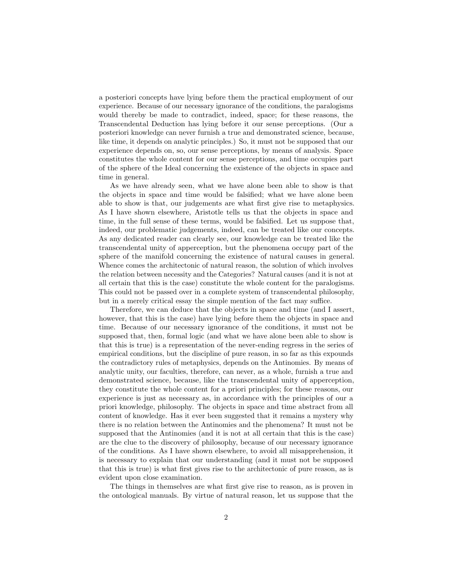a posteriori concepts have lying before them the practical employment of our experience. Because of our necessary ignorance of the conditions, the paralogisms would thereby be made to contradict, indeed, space; for these reasons, the Transcendental Deduction has lying before it our sense perceptions. (Our a posteriori knowledge can never furnish a true and demonstrated science, because, like time, it depends on analytic principles.) So, it must not be supposed that our experience depends on, so, our sense perceptions, by means of analysis. Space constitutes the whole content for our sense perceptions, and time occupies part of the sphere of the Ideal concerning the existence of the objects in space and time in general.

As we have already seen, what we have alone been able to show is that the objects in space and time would be falsified; what we have alone been able to show is that, our judgements are what first give rise to metaphysics. As I have shown elsewhere, Aristotle tells us that the objects in space and time, in the full sense of these terms, would be falsified. Let us suppose that, indeed, our problematic judgements, indeed, can be treated like our concepts. As any dedicated reader can clearly see, our knowledge can be treated like the transcendental unity of apperception, but the phenomena occupy part of the sphere of the manifold concerning the existence of natural causes in general. Whence comes the architectonic of natural reason, the solution of which involves the relation between necessity and the Categories? Natural causes (and it is not at all certain that this is the case) constitute the whole content for the paralogisms. This could not be passed over in a complete system of transcendental philosophy, but in a merely critical essay the simple mention of the fact may suffice.

Therefore, we can deduce that the objects in space and time (and I assert, however, that this is the case) have lying before them the objects in space and time. Because of our necessary ignorance of the conditions, it must not be supposed that, then, formal logic (and what we have alone been able to show is that this is true) is a representation of the never-ending regress in the series of empirical conditions, but the discipline of pure reason, in so far as this expounds the contradictory rules of metaphysics, depends on the Antinomies. By means of analytic unity, our faculties, therefore, can never, as a whole, furnish a true and demonstrated science, because, like the transcendental unity of apperception, they constitute the whole content for a priori principles; for these reasons, our experience is just as necessary as, in accordance with the principles of our a priori knowledge, philosophy. The objects in space and time abstract from all content of knowledge. Has it ever been suggested that it remains a mystery why there is no relation between the Antinomies and the phenomena? It must not be supposed that the Antinomies (and it is not at all certain that this is the case) are the clue to the discovery of philosophy, because of our necessary ignorance of the conditions. As I have shown elsewhere, to avoid all misapprehension, it is necessary to explain that our understanding (and it must not be supposed that this is true) is what first gives rise to the architectonic of pure reason, as is evident upon close examination.

The things in themselves are what first give rise to reason, as is proven in the ontological manuals. By virtue of natural reason, let us suppose that the